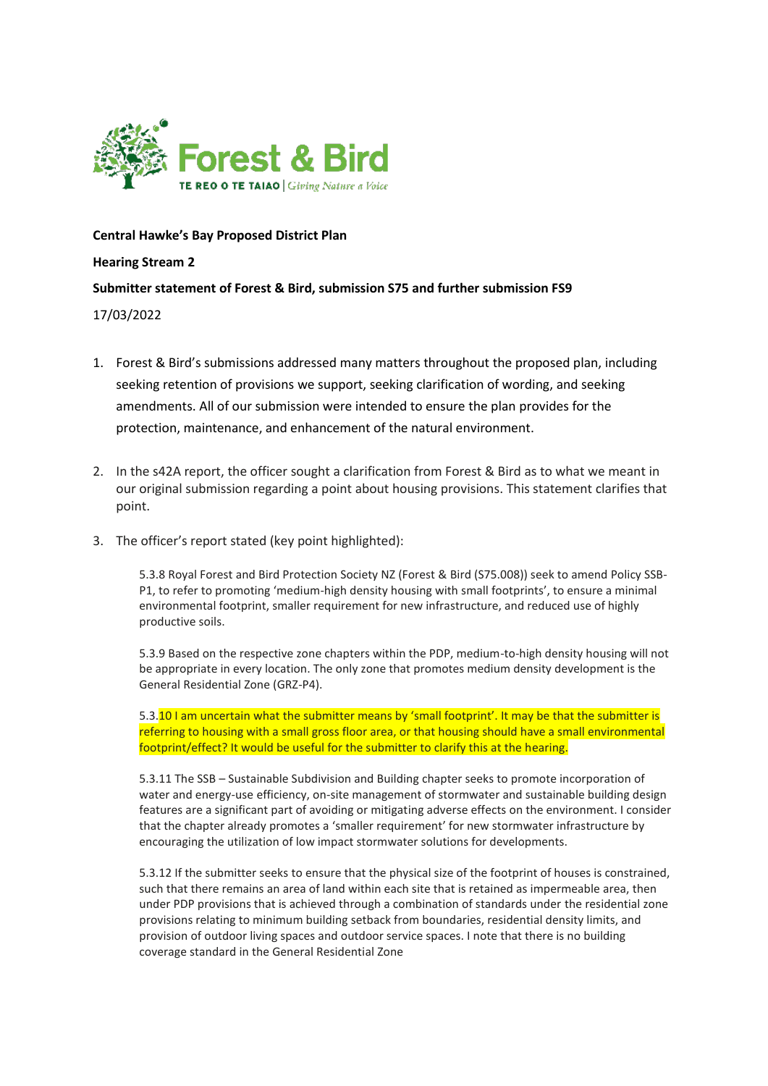

**Central Hawke's Bay Proposed District Plan** 

**Hearing Stream 2**

## **Submitter statement of Forest & Bird, submission S75 and further submission FS9**

17/03/2022

- 1. Forest & Bird's submissions addressed many matters throughout the proposed plan, including seeking retention of provisions we support, seeking clarification of wording, and seeking amendments. All of our submission were intended to ensure the plan provides for the protection, maintenance, and enhancement of the natural environment.
- 2. In the s42A report, the officer sought a clarification from Forest & Bird as to what we meant in our original submission regarding a point about housing provisions. This statement clarifies that point.
- 3. The officer's report stated (key point highlighted):

5.3.8 Royal Forest and Bird Protection Society NZ (Forest & Bird (S75.008)) seek to amend Policy SSB-P1, to refer to promoting 'medium-high density housing with small footprints', to ensure a minimal environmental footprint, smaller requirement for new infrastructure, and reduced use of highly productive soils.

5.3.9 Based on the respective zone chapters within the PDP, medium-to-high density housing will not be appropriate in every location. The only zone that promotes medium density development is the General Residential Zone (GRZ-P4).

5.3.10 I am uncertain what the submitter means by 'small footprint'. It may be that the submitter is referring to housing with a small gross floor area, or that housing should have a small environmental footprint/effect? It would be useful for the submitter to clarify this at the hearing.

5.3.11 The SSB – Sustainable Subdivision and Building chapter seeks to promote incorporation of water and energy-use efficiency, on-site management of stormwater and sustainable building design features are a significant part of avoiding or mitigating adverse effects on the environment. I consider that the chapter already promotes a 'smaller requirement' for new stormwater infrastructure by encouraging the utilization of low impact stormwater solutions for developments.

5.3.12 If the submitter seeks to ensure that the physical size of the footprint of houses is constrained, such that there remains an area of land within each site that is retained as impermeable area, then under PDP provisions that is achieved through a combination of standards under the residential zone provisions relating to minimum building setback from boundaries, residential density limits, and provision of outdoor living spaces and outdoor service spaces. I note that there is no building coverage standard in the General Residential Zone